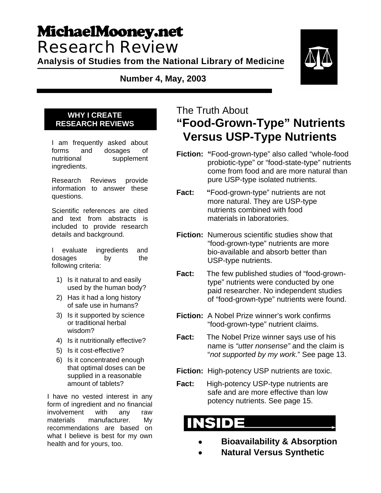# MichaelMooney.net Research Review

**Analysis of Studies from the National Library of Medicine** 

**Number 4, May, 2003** 



#### **WHY I CREATE RESEARCH REVIEWS**

I am frequently asked about forms and dosages of nutritional supplement ingredients.

Research Reviews provide information to answer these questions.

Scientific references are cited and text from abstracts is included to provide research details and background.

I evaluate ingredients and dosages by the following criteria:

- 1) Is it natural to and easily used by the human body?
- 2) Has it had a long history of safe use in humans?
- 3) Is it supported by science or traditional herbal wisdom?
- 4) Is it nutritionally effective?
- 5) Is it cost-effective?
- 6) Is it concentrated enough that optimal doses can be supplied in a reasonable amount of tablets?

I have no vested interest in any form of ingredient and no financial involvement with any raw materials manufacturer. My recommendations are based on what I believe is best for my own health and for yours, too.

## The Truth About **"Food-Grown-Type" Nutrients Versus USP-Type Nutrients**

**Fiction: "**Food-grown-type" also called "whole-food probiotic-type" or "food-state-type" nutrients come from food and are more natural than pure USP-type isolated nutrients.

**Fact:** "Food-grown-type" nutrients are not more natural. They are USP-type nutrients combined with food materials in laboratories.

- **Fiction:** Numerous scientific studies show that "food-grown-type" nutrients are more bio-available and absorb better than USP-type nutrients.
- **Fact:** The few published studies of "food-grown type" nutrients were conducted by one paid researcher. No independent studies of "food-grown-type" nutrients were found.
- **Fiction:** A Nobel Prize winner's work confirms "food-grown-type" nutrient claims.
- **Fact:** The Nobel Prize winner says use of his name is *"utter nonsense"* and the claim is "*not supported by my work.*" See page 13.
- **Fiction:** High-potency USP nutrients are toxic.
- **Fact:** High-potency USP-type nutrients are safe and are more effective than low potency nutrients. See page 15.

- • **Bioavailability & Absorption**
- • **Natural Versus Synthetic**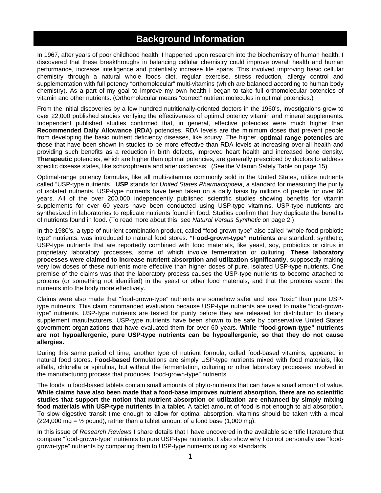### **Background Information**

In 1967, after years of poor childhood health, I happened upon research into the biochemistry of human health. I discovered that these breakthroughs in balancing cellular chemistry could improve overall health and human performance, increase intelligence and potentially increase life spans. This involved improving basic cellular chemistry through a natural whole foods diet, regular exercise, stress reduction, allergy control and supplementation with full potency "orthomolecular" multi-vitamins (which are balanced according to human body chemistry). As a part of my goal to improve my own health I began to take full orthomolecular potencies of vitamin and other nutrients. (Orthomolecular means "correct" nutrient molecules in optimal potencies.)

From the initial discoveries by a few hundred nutritionally-oriented doctors in the 1960's, investigations grew to over 22,000 published studies verifying the effectiveness of optimal potency vitamin and mineral supplements. Independent published studies confirmed that, in general, effective potencies were much higher than **Recommended Daily Allowance (RDA)** potencies. RDA levels are the minimum doses that prevent people from developing the basic nutrient deficiency diseases, like scurvy. The higher, **optimal range potencies** are those that have been shown in studies to be more effective than RDA levels at increasing over-all health and providing such benefits as a reduction in birth defects, improved heart health and increased bone density. **Therapeutic** potencies, which are higher than optimal potencies, are generally prescribed by doctors to address specific disease states, like schizophrenia and arteriosclerosis. (See the Vitamin Safely Table on page 15).

Optimal-range potency formulas, like all multi-vitamins commonly sold in the United States, utilize nutrients called "USP-type nutrients." **USP** stands for *United States Pharmacopoeia*, a standard for measuring the purity of isolated nutrients. USP-type nutrients have been taken on a daily basis by millions of people for over 60 years. All of the over 200,000 independently published scientific studies showing benefits for vitamin supplements for over 60 years have been conducted using USP-type vitamins. USP-type nutrients are synthesized in laboratories to replicate nutrients found in food. Studies confirm that they duplicate the benefits of nutrients found in food. (To read more about this, see *Natural Versus Synthetic* on page 2.)

In the 1980's, a type of nutrient combination product, called "food-grown-type" also called "whole-food probiotic type" nutrients, was introduced to natural food stores. **"Food-grown-type" nutrients** are standard, synthetic, USP-type nutrients that are reportedly combined with food materials, like yeast, soy, probiotics or citrus in proprietary laboratory processes, some of which involve fermentation or culturing. **These laboratory processes were claimed to increase nutrient absorption and utilization significantly,** supposedly making very low doses of these nutrients more effective than higher doses of pure, isolated USP-type nutrients. One premise of the claims was that the laboratory process causes the USP-type nutrients to become attached to proteins (or something not identified) in the yeast or other food materials, and that the proteins escort the nutrients into the body more effectively.

Claims were also made that "food-grown-type" nutrients are somehow safer and less "toxic" than pure USPtype nutrients. This claim commanded evaluation because USP-type nutrients are used to make "food-growntype" nutrients. USP-type nutrients are tested for purity before they are released for distribution to dietary supplement manufacturers. USP-type nutrients have been shown to be safe by conservative United States government organizations that have evaluated them for over 60 years. **While "food-grown-type" nutrients are not hypoallergenic, pure USP-type nutrients can be hypoallergenic, so that they do not cause allergies.**

During this same period of time, another type of nutrient formula, called food-based vitamins, appeared in natural food stores. **Food-based** formulations are simply USP-type nutrients mixed with food materials, like alfalfa, chlorella or spirulina, but without the fermentation, culturing or other laboratory processes involved in the manufacturing process that produces "food-grown-type" nutrients.

The foods in food-based tablets contain small amounts of phyto-nutrients that can have a small amount of value. **While claims have also been made that a food-base improves nutrient absorption, there are no scientific studies that support the notion that nutrient absorption or utilization are enhanced by simply mixing food materials with USP-type nutrients in a tablet.** A tablet amount of food is not enough to aid absorption. To slow digestive transit time enough to allow for optimal absorption, vitamins should be taken with a meal  $(224,000 \text{ mg} = \frac{1}{2} \text{ pound})$ , rather than a tablet amount of a food base  $(1,000 \text{ mg})$ .

In this issue of *Research Reviews* I share details that I have uncovered in the available scientific literature that compare "food-grown-type" nutrients to pure USP-type nutrients. I also show why I do not personally use "foodgrown-type" nutrients by comparing them to USP-type nutrients using six standards.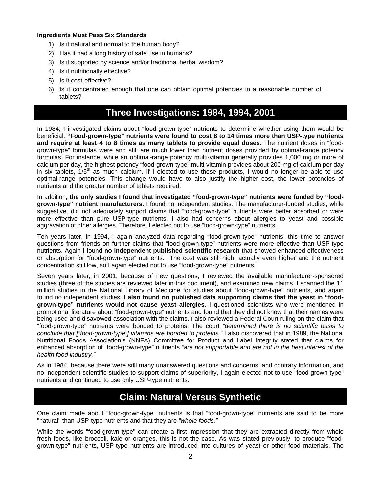#### **Ingredients Must Pass Six Standards**

- 1) Is it natural and normal to the human body?
- 2) Has it had a long history of safe use in humans?
- 3) Is it supported by science and/or traditional herbal wisdom?
- 4) Is it nutritionally effective?
- 5) Is it cost-effective?
- 6) Is it concentrated enough that one can obtain optimal potencies in a reasonable number of tablets?

### **Three Investigations: 1984, 1994, 2001**

In 1984, I investigated claims about "food-grown-type" nutrients to determine whether using them would be beneficial. **"Food-grown-type" nutrients were found to cost 8 to 14 times more than USP-type nutrients and require at least 4 to 8 times as many tablets to provide equal doses.** The nutrient doses in "foodgrown-type" formulas were and still are much lower than nutrient doses provided by optimal-range potency formulas. For instance, while an optimal-range potency multi-vitamin generally provides 1,000 mg or more of calcium per day, the highest potency "food-grown-type" multi-vitamin provides about 200 mg of calcium per day in six tablets,  $1/5<sup>th</sup>$  as much calcium. If I elected to use these products, I would no longer be able to use optimal-range potencies. This change would have to also justify the higher cost, the lower potencies of nutrients and the greater number of tablets required.

In addition, **the only studies I found that investigated "food-grown-type" nutrients were funded by "foodgrown-type" nutrient manufacturers.** I found no independent studies. The manufacturer-funded studies, while suggestive, did not adequately support claims that "food-grown-type" nutrients were better absorbed or were more effective than pure USP-type nutrients. I also had concerns about allergies to yeast and possible aggravation of other allergies. Therefore, I elected not to use "food-grown-type" nutrients.

Ten years later, in 1994, I again analyzed data regarding "food-grown-type" nutrients, this time to answer questions from friends on further claims that "food-grown-type" nutrients were more effective than USP-type nutrients. Again I found **no independent published scientific research** that showed enhanced effectiveness or absorption for "food-grown-type" nutrients. The cost was still high, actually even higher and the nutrient concentration still low, so I again elected not to use "food-grown-type" nutrients.

Seven years later, in 2001, because of new questions, I reviewed the available manufacturer-sponsored studies (three of the studies are reviewed later in this document), and examined new claims. I scanned the 11 million studies in the National Library of Medicine for studies about "food-grown-type" nutrients, and again found no independent studies. **I also found no published data supporting claims that the yeast in "foodgrown-type" nutrients would not cause yeast allergies.** I questioned scientists who were mentioned in promotional literature about "food-grown-type" nutrients and found that they did not know that their names were being used and disavowed association with the claims. I also reviewed a Federal Court ruling on the claim that "food-grown-type" nutrients were bonded to proteins. The court *"determined there is no scientific basis to conclude that ["food-grown-type"] vitamins are bonded to proteins."* I also discovered that in 1989, the National Nutritional Foods Association's (NNFA) Committee for Product and Label Integrity stated that claims for enhanced absorption of "food-grown-type" nutrients *"are not supportable and are not in the best interest of the health food industry."* 

As in 1984, because there were still many unanswered questions and concerns, and contrary information, and no independent scientific studies to support claims of superiority, I again elected not to use "food-grown-type" nutrients and continued to use only USP-type nutrients.

### **Claim: Natural Versus Synthetic**

One claim made about "food-grown-type" nutrients is that "food-grown-type" nutrients are said to be more "natural" than USP-type nutrients and that they are *"whole foods."*

While the words "food-grown-type" can create a first impression that they are extracted directly from whole fresh foods, like broccoli, kale or oranges, this is not the case. As was stated previously, to produce "foodgrown-type" nutrients, USP-type nutrients are introduced into cultures of yeast or other food materials. The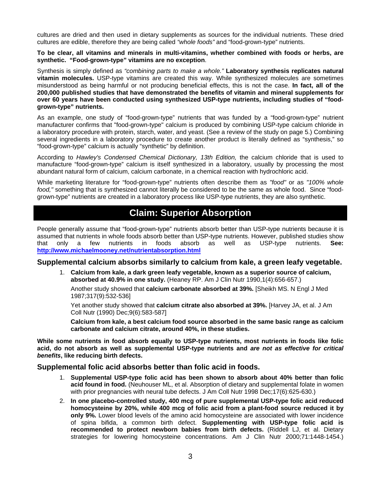cultures are dried and then used in dietary supplements as sources for the individual nutrients. These dried cultures are edible, therefore they are being called *"whole foods"* and "food-grown-type" nutrients.

**To be clear, all vitamins and minerals in multi-vitamins, whether combined with foods or herbs, are synthetic. "Food-grown-type" vitamins are no exception**.

Synthesis is simply defined as *"combining parts to make a whole."* **Laboratory synthesis replicates natural vitamin molecules.** USP-type vitamins are created this way. While synthesized molecules are sometimes misunderstood as being harmful or not producing beneficial effects, this is not the case. **In fact, all of the 200,000 published studies that have demonstrated the benefits of vitamin and mineral supplements for over 60 years have been conducted using synthesized USP-type nutrients, including studies of "foodgrown-type" nutrients.** 

As an example, one study of "food-grown-type" nutrients that was funded by a "food-grown-type" nutrient manufacturer confirms that "food-grown-type" calcium is produced by combining USP-type calcium chloride in a laboratory procedure with protein, starch, water, and yeast. (See a review of the study on page 5.) Combining several ingredients in a laboratory procedure to create another product is literally defined as "synthesis," so "food-grown-type" calcium is actually "synthetic" by definition.

According to *Hawley's Condensed Chemical Dictionary, 13th Edition,* the calcium chloride that is used to manufacture "food-grown-type" calcium is itself synthesized in a laboratory, usually by processing the most abundant natural form of calcium, calcium carbonate, in a chemical reaction with hydrochloric acid.

While marketing literature for "food-grown-type" nutrients often describe them as *"food"* or as *"100% whole food,"* something that is synthesized cannot literally be considered to be the same as whole food. Since "foodgrown-type" nutrients are created in a laboratory process like USP-type nutrients, they are also synthetic.

### **Claim: Superior Absorption**

People generally assume that "food-grown-type" nutrients absorb better than USP-type nutrients because it is assumed that nutrients in whole foods absorb better than USP-type nutrients. However, published studies show that only a few nutrients in foods absorb as well as USP-type nutrients. **See: http://www.michaelmooney.net/nutrientabsorption.html**

#### **Supplemental calcium absorbs similarly to calcium from kale, a green leafy vegetable.**

1. **Calcium from kale, a dark green leafy vegetable, known as a superior source of calcium, absorbed at 40.9% in one study.** (Heaney RP. Am J Clin Nutr 1990,1(4):656-657.)

Another study showed that **calcium carbonate absorbed at 39%.** [Sheikh MS. N Engl J Med 1987;317(9):532-536]

Yet another study showed that **calcium citrate also absorbed at 39%.** [Harvey JA, et al. J Am Coll Nutr (1990) Dec;9(6):583-587]

**Calcium from kale, a best calcium food source absorbed in the same basic range as calcium carbonate and calcium citrate, around 40%, in these studies.**

**While some nutrients in food absorb equally to USP-type nutrients, most nutrients in foods like folic acid, do not absorb as well as supplemental USP-type nutrients and** *are not as effective for critical benefits***, like reducing birth defects.** 

#### **Supplemental folic acid absorbs better than folic acid in foods.**

- 1. **Supplemental USP-type folic acid has been shown to absorb about 40% better than folic acid found in food.** (Neuhouser ML, et al. Absorption of dietary and supplemental folate in women with prior pregnancies with neural tube defects. J Am Coll Nutr 1998 Dec;17(6):625-630.)
- 2. **In one placebo-controlled study, 400 mcg of pure supplemental USP-type folic acid reduced homocysteine by 20%, while 400 mcg of folic acid from a plant-food source reduced it by only 9%.** Lower blood levels of the amino acid homocysteine are associated with lower incidence of spina bifida, a common birth defect. **Supplementing with USP-type folic acid is recommended to protect newborn babies from birth defects.** (Riddell LJ, et al. Dietary strategies for lowering homocysteine concentrations. Am J Clin Nutr 2000;71:1448-1454.)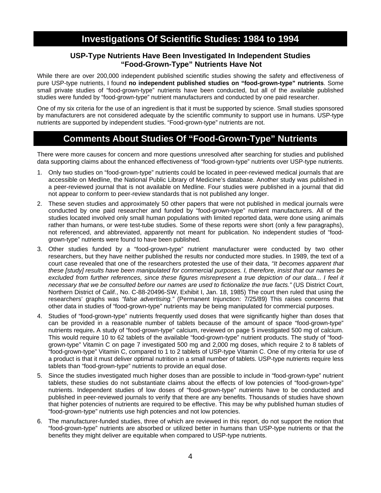#### **USP-Type Nutrients Have Been Investigated In Independent Studies "Food-Grown-Type" Nutrients Have Not**

While there are over 200,000 independent published scientific studies showing the safety and effectiveness of pure USP-type nutrients, I found **no independent published studies on "food-grown-type" nutrients**. Some small private studies of "food-grown-type" nutrients have been conducted, but all of the available published studies were funded by "food-grown-type" nutrient manufacturers and conducted by one paid researcher.

One of my six criteria for the use of an ingredient is that it must be supported by science. Small studies sponsored by manufacturers are not considered adequate by the scientific community to support use in humans. USP-type nutrients are supported by independent studies. "Food-grown-type" nutrients are not.

### **Comments About Studies Of "Food-Grown-Type" Nutrients**

There were more causes for concern and more questions unresolved after searching for studies and published data supporting claims about the enhanced effectiveness of "food-grown-type" nutrients over USP-type nutrients.

- 1. Only two studies on "food-grown-type" nutrients could be located in peer-reviewed medical journals that are accessible on Medline, the National Public Library of Medicine's database. Another study was published in a peer-reviewed journal that is not available on Medline. Four studies were published in a journal that did not appear to conform to peer-review standards that is not published any longer.
- 2. These seven studies and approximately 50 other papers that were not published in medical journals were conducted by one paid researcher and funded by "food-grown-type" nutrient manufacturers. All of the studies located involved only small human populations with limited reported data, were done using animals rather than humans, or were test-tube studies. Some of these reports were short (only a few paragraphs), not referenced, and abbreviated, apparently not meant for publication. No independent studies of "foodgrown-type" nutrients were found to have been published.
- 3. Other studies funded by a "food-grown-type" nutrient manufacturer were conducted by two other researchers, but they have neither published the results nor conducted more studies. In 1989, the text of a court case revealed that one of the researchers protested the use of their data, *"It becomes apparent that these [study] results have been manipulated for commercial purposes. I, therefore, insist that our names be excluded from further references, since these figures misrepresent a true depiction of our data... I feel it necessary that we be consulted before our names are used to fictionalize the true facts."* (US District Court, Northern District of Calif., No. C-88-20496-SW, Exhibit I, Jan. 18, 1985) The court then ruled that using the researchers' graphs was *"false advertising."* (Permanent Injunction: 7/25/89) This raises concerns that other data in studies of "food-grown-type" nutrients may be being manipulated for commercial purposes.
- 4. Studies of "food-grown-type" nutrients frequently used doses that were significantly higher than doses that can be provided in a reasonable number of tablets because of the amount of space "food-grown-type" nutrients require**.** A study of "food-grown-type" calcium, reviewed on page 5 investigated 500 mg of calcium. This would require 10 to 62 tablets of the available "food-grown-type" nutrient products. The study of "foodgrown-type" Vitamin C on page 7 investigated 500 mg and 2,000 mg doses, which require 2 to 8 tablets of "food-grown-type" Vitamin C, compared to 1 to 2 tablets of USP-type Vitamin C. One of my criteria for use of a product is that it must deliver optimal nutrition in a small number of tablets. USP-type nutrients require less tablets than "food-grown-type" nutrients to provide an equal dose.
- 5. Since the studies investigated much higher doses than are possible to include in "food-grown-type" nutrient tablets, these studies do not substantiate claims about the effects of low potencies of "food-grown-type" nutrients. Independent studies of low doses of "food-grown-type" nutrients have to be conducted and published in peer-reviewed journals to verify that there are any benefits. Thousands of studies have shown that higher potencies of nutrients are required to be effective. This may be why published human studies of "food-grown-type" nutrients use high potencies and not low potencies.
- 6. The manufacturer-funded studies, three of which are reviewed in this report, do not support the notion that "food-grown-type" nutrients are absorbed or utilized better in humans than USP-type nutrients or that the benefits they might deliver are equitable when compared to USP-type nutrients.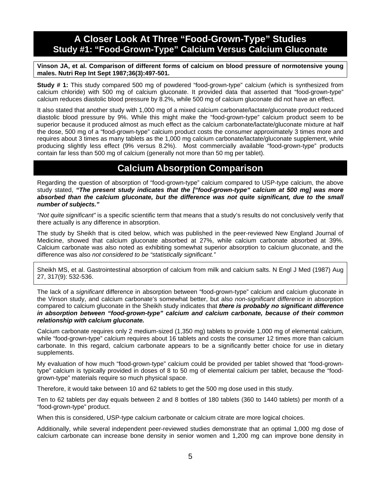### **A Closer Look At Three "Food-Grown-Type" Studies Study #1: "Food-Grown-Type" Calcium Versus Calcium Gluconate**

**Vinson JA, et al. Comparison of different forms of calcium on blood pressure of normotensive young males. Nutri Rep Int Sept 1987;36(3):497-501.** 

**Study # 1:** This study compared 500 mg of powdered "food-grown-type" calcium (which is synthesized from calcium chloride) with 500 mg of calcium gluconate. It provided data that asserted that "food-grown-type" calcium reduces diastolic blood pressure by 8.2%, while 500 mg of calcium gluconate did not have an effect.

It also stated that another study with 1,000 mg of a mixed calcium carbonate/lactate/gluconate product reduced diastolic blood pressure by 9%. While this might make the "food-grown-type" calcium product seem to be superior because it produced almost as much effect as the calcium carbonate/lactate/gluconate mixture at half the dose, 500 mg of a "food-grown-type" calcium product costs the consumer approximately 3 times more and requires about 3 times as many tablets as the 1,000 mg calcium carbonate/lactate/gluconate supplement, while producing slightly less effect (9% versus 8.2%). Most commercially available "food-grown-type" products contain far less than 500 mg of calcium (generally not more than 50 mg per tablet).

### **Calcium Absorption Comparison**

Regarding the question of absorption of "food-grown-type" calcium compared to USP-type calcium, the above study stated, *"The present study indicates that the ["food-grown-type" calcium at 500 mg] was more absorbed than the calcium gluconate, but the difference was not quite significant, due to the small number of subjects."*

*"Not quite significant"* is a specific scientific term that means that a study's results do not conclusively verify that there actually is any difference in absorption.

The study by Sheikh that is cited below, which was published in the peer-reviewed New England Journal of Medicine, showed that calcium gluconate absorbed at 27%, while calcium carbonate absorbed at 39%. Calcium carbonate was also noted as exhibiting somewhat superior absorption to calcium gluconate, and the difference was also *not considered to be "statistically significant."*

Sheikh MS, et al. Gastrointestinal absorption of calcium from milk and calcium salts. N Engl J Med (1987) Aug 27, 317(9): 532-536.

The lack of a *significant* difference in absorption between "food-grown-type" calcium and calcium gluconate in the Vinson study, and calcium carbonate's somewhat better, but also *non-significant difference* in absorption compared to calcium gluconate in the Sheikh study indicates that *there is probably no significant difference in absorption between "food-grown-type" calcium and calcium carbonate, because of their common relationship with calcium gluconate.*

Calcium carbonate requires only 2 medium-sized (1,350 mg) tablets to provide 1,000 mg of elemental calcium, while "food-grown-type" calcium requires about 16 tablets and costs the consumer 12 times more than calcium carbonate. In this regard, calcium carbonate appears to be a significantly better choice for use in dietary supplements.

My evaluation of how much "food-grown-type" calcium could be provided per tablet showed that "food-growntype" calcium is typically provided in doses of 8 to 50 mg of elemental calcium per tablet, because the "foodgrown-type" materials require so much physical space.

Therefore, it would take between 10 and 62 tablets to get the 500 mg dose used in this study.

Ten to 62 tablets per day equals between 2 and 8 bottles of 180 tablets (360 to 1440 tablets) per month of a "food-grown-type" product.

When this is considered, USP-type calcium carbonate or calcium citrate are more logical choices.

Additionally, while several independent peer-reviewed studies demonstrate that an optimal 1,000 mg dose of calcium carbonate can increase bone density in senior women and 1,200 mg can improve bone density in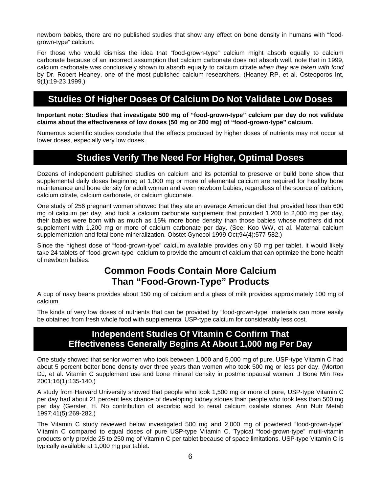newborn babies*,* there are no published studies that show any effect on bone density in humans with "foodgrown-type" calcium.

For those who would dismiss the idea that "food-grown-type" calcium might absorb equally to calcium carbonate because of an incorrect assumption that calcium carbonate does not absorb well, note that in 1999, calcium carbonate was conclusively shown to absorb equally to calcium citrate *when they are taken with food* by Dr. Robert Heaney, one of the most published calcium researchers. (Heaney RP, et al. Osteoporos Int, 9(1):19-23 1999.)

### **Studies Of Higher Doses Of Calcium Do Not Validate Low Doses**

**Important note: Studies that investigate 500 mg of "food-grown-type" calcium per day do not validate claims about the effectiveness of low doses (50 mg or 200 mg) of "food-grown-type" calcium.** 

Numerous scientific studies conclude that the effects produced by higher doses of nutrients may not occur at lower doses, especially very low doses.

### **Studies Verify The Need For Higher, Optimal Doses**

Dozens of independent published studies on calcium and its potential to preserve or build bone show that supplemental daily doses beginning at 1,000 mg or more of elemental calcium are required for healthy bone maintenance and bone density for adult women and even newborn babies, regardless of the source of calcium, calcium citrate, calcium carbonate, or calcium gluconate.

One study of 256 pregnant women showed that they ate an average American diet that provided less than 600 mg of calcium per day, and took a calcium carbonate supplement that provided 1,200 to 2,000 mg per day, their babies were born with as much as 15% more bone density than those babies whose mothers did not supplement with 1,200 mg or more of calcium carbonate per day. (See: Koo WW, et al. Maternal calcium supplementation and fetal bone mineralization. Obstet Gynecol 1999 Oct;94(4):577-582.)

Since the highest dose of "food-grown-type" calcium available provides only 50 mg per tablet, it would likely take 24 tablets of "food-grown-type" calcium to provide the amount of calcium that can optimize the bone health of newborn babies.

### **Common Foods Contain More Calcium Than "Food-Grown-Type" Products**

A cup of navy beans provides about 150 mg of calcium and a glass of milk provides approximately 100 mg of calcium.

The kinds of very low doses of nutrients that can be provided by "food-grown-type" materials can more easily be obtained from fresh whole food with supplemental USP-type calcium for considerably less cost.

#### **Independent Studies Of Vitamin C Confirm That Effectiveness Generally Begins At About 1,000 mg Per Day**

One study showed that senior women who took between 1,000 and 5,000 mg of pure, USP-type Vitamin C had about 5 percent better bone density over three years than women who took 500 mg or less per day. (Morton DJ, et al. Vitamin C supplement use and bone mineral density in postmenopausal women. J Bone Min Res 2001;16(1):135-140.)

A study from Harvard University showed that people who took 1,500 mg or more of pure, USP-type Vitamin C per day had about 21 percent less chance of developing kidney stones than people who took less than 500 mg per day (Gerster, H. No contribution of ascorbic acid to renal calcium oxalate stones. Ann Nutr Metab 1997;41(5):269-282.)

The Vitamin C study reviewed below investigated 500 mg and 2,000 mg of powdered "food-grown-type" Vitamin C compared to equal doses of pure USP-type Vitamin C. Typical "food-grown-type" multi-vitamin products only provide 25 to 250 mg of Vitamin C per tablet because of space limitations. USP-type Vitamin C is typically available at 1,000 mg per tablet.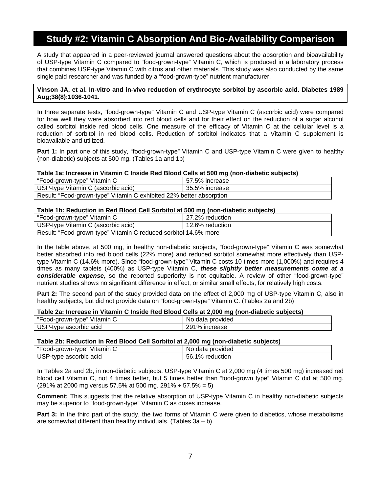### **Study #2: Vitamin C Absorption And Bio-Availability Comparison**

A study that appeared in a peer-reviewed journal answered questions about the absorption and bioavailability of USP-type Vitamin C compared to "food-grown-type" Vitamin C, which is produced in a laboratory process that combines USP-type Vitamin C with citrus and other materials. This study was also conducted by the same single paid researcher and was funded by a "food-grown-type" nutrient manufacturer.

#### **Vinson JA, et al. In-vitro and in-vivo reduction of erythrocyte sorbitol by ascorbic acid. Diabetes 1989 Aug;38(8):1036-1041.**

In three separate tests, "food-grown-type" Vitamin C and USP-type Vitamin C (ascorbic acid) were compared for how well they were absorbed into red blood cells and for their effect on the reduction of a sugar alcohol called sorbitol inside red blood cells. One measure of the efficacy of Vitamin C at the cellular level is a reduction of sorbitol in red blood cells. Reduction of sorbitol indicates that a Vitamin C supplement is bioavailable and utilized.

**Part 1:** In part one of this study, "food-grown-type" Vitamin C and USP-type Vitamin C were given to healthy (non-diabetic) subjects at 500 mg. (Tables 1a and 1b)

#### **Table 1a: Increase in Vitamin C Inside Red Blood Cells at 500 mg (non-diabetic subjects)**

| "Food-grown-type" Vitamin C                                         | 57.5% increase |  |  |
|---------------------------------------------------------------------|----------------|--|--|
| USP-type Vitamin C (ascorbic acid)                                  | 35.5% increase |  |  |
| Result: "Food-grown-type" Vitamin C exhibited 22% better absorption |                |  |  |

#### **Table 1b: Reduction in Red Blood Cell Sorbitol at 500 mg (non-diabetic subjects)**

|                                                                 | . .             |
|-----------------------------------------------------------------|-----------------|
| "Food-grown-type" Vitamin C                                     | 27.2% reduction |
| USP-type Vitamin C (ascorbic acid)                              | 12.6% reduction |
| Result: "Food-grown-type" Vitamin C reduced sorbitol 14.6% more |                 |

In the table above, at 500 mg, in healthy non-diabetic subjects, "food-grown-type" Vitamin C was somewhat better absorbed into red blood cells (22% more) and reduced sorbitol somewhat more effectively than USPtype Vitamin C (14.6% more). Since "food-grown-type" Vitamin C costs 10 times more (1,000%) and requires 4 times as many tablets (400%) as USP-type Vitamin C, *these slightly better measurements come at a considerable expense,* so the reported superiority is not equitable. A review of other "food-grown-type" nutrient studies shows no significant difference in effect, or similar small effects, for relatively high costs.

**Part 2:** The second part of the study provided data on the effect of 2,000 mg of USP-type Vitamin C, also in healthy subjects, but did not provide data on "food-grown-type" Vitamin C. (Tables 2a and 2b)

#### **Table 2a: Increase in Vitamin C Inside Red Blood Cells at 2,000 mg (non-diabetic subjects)**

| $\mathbf{u}$         | No.      |
|----------------------|----------|
| ″ Vitamin C          | provided |
| "Food-grown-type" v∴ | data     |
| <b>USP</b>           | $\%$     |
| ascorbic acid        | ാവം.     |
| '-tvpe               | increase |

#### **Table 2b: Reduction in Red Blood Cell Sorbitol at 2,000 mg (non-diabetic subjects)**

| $\mathbf{u}$                            | No.                                 |
|-----------------------------------------|-------------------------------------|
| ″ Vitamin C                             | provided                            |
| ood-grown-type"                         | data                                |
| . IOD<br>ascorbic acid<br>'-tvpe<br>uər | 56.1<br>$\frac{10}{6}$<br>reduction |

In Tables 2a and 2b, in non-diabetic subjects, USP-type Vitamin C at 2,000 mg (4 times 500 mg) increased red blood cell Vitamin C, not 4 times better, but 5 times better than "food-grown type" Vitamin C did at 500 mg.  $(291\% \text{ at } 2000 \text{ mg} \text{ versus } 57.5\% \text{ at } 500 \text{ mg} \text{.} 291\% \div 57.5\% = 5)$ 

**Comment:** This suggests that the relative absorption of USP-type Vitamin C in healthy non-diabetic subjects may be superior to "food-grown-type" Vitamin C as doses increase.

**Part 3:** In the third part of the study, the two forms of Vitamin C were given to diabetics, whose metabolisms are somewhat different than healthy individuals. (Tables 3a – b)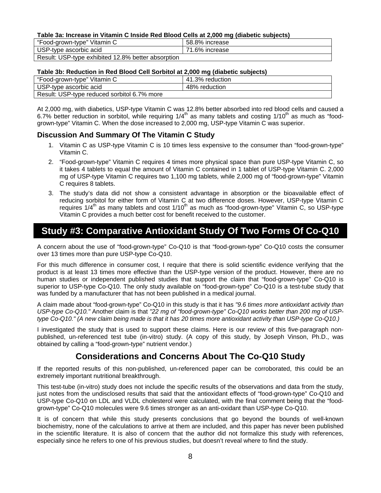#### **Table 3a: Increase in Vitamin C Inside Red Blood Cells at 2,000 mg (diabetic subjects)**

| "Food-grown-type" Vitamin C                        | 58.8% increase |
|----------------------------------------------------|----------------|
| USP-type ascorbic acid                             | 71.6% increase |
| Result: USP-type exhibited 12.8% better absorption |                |

#### **Table 3b: Reduction in Red Blood Cell Sorbitol at 2,000 mg (diabetic subjects)**

|                                             | --              |
|---------------------------------------------|-----------------|
| "Food-grown-type" Vitamin C                 | 41.3% reduction |
| USP-type ascorbic acid                      | 48% reduction   |
| Result: USP-type reduced sorbitol 6.7% more |                 |

At 2,000 mg, with diabetics, USP-type Vitamin C was 12.8% better absorbed into red blood cells and caused a 6.7% better reduction in sorbitol, while requiring  $1/4<sup>th</sup>$  as many tablets and costing  $1/10<sup>th</sup>$  as much as "foodgrown-type" Vitamin C. When the dose increased to 2,000 mg, USP-type Vitamin C was superior.

#### **Discussion And Summary Of The Vitamin C Study**

- 1. Vitamin C as USP-type Vitamin C is 10 times less expensive to the consumer than "food-grown-type" Vitamin C.
- 2. "Food-grown-type" Vitamin C requires 4 times more physical space than pure USP-type Vitamin C, so it takes 4 tablets to equal the amount of Vitamin C contained in 1 tablet of USP-type Vitamin C. 2,000 mg of USP-type Vitamin C requires two 1,100 mg tablets, while 2,000 mg of "food-grown-type" Vitamin C requires 8 tablets.
- 3. The study's data did not show a consistent advantage in absorption or the bioavailable effect of reducing sorbitol for either form of Vitamin C at two difference doses. However, USP-type Vitamin C requires 1/4<sup>th</sup> as many tablets and cost 1/10<sup>th</sup> as much as "food-grown-type" Vitamin C, so USP-type Vitamin C provides a much better cost for benefit received to the customer.

### **Study #3: Comparative Antioxidant Study Of Two Forms Of Co-Q10**

A concern about the use of "food-grown-type" Co-Q10 is that "food-grown-type" Co-Q10 costs the consumer over 13 times more than pure USP-type Co-Q10.

For this much difference in consumer cost, I require that there is solid scientific evidence verifying that the product is at least 13 times more effective than the USP-type version of the product. However, there are no human studies or independent published studies that support the claim that "food-grown-type" Co-Q10 is superior to USP-type Co-Q10. The only study available on "food-grown-type" Co-Q10 is a test-tube study that was funded by a manufacturer that has not been published in a medical journal.

A claim made about "food-grown-type" Co-Q10 in this study is that it has *"9.6 times more antioxidant activity than USP-type Co-Q10."* Another claim is that *"22 mg of "food-grown-type" Co-Q10 works better than 200 mg of USPtype Co-Q10." (A new claim being made is that it has 20 times more antioxidant activity than USP-type Co-Q10.)* 

I investigated the study that is used to support these claims. Here is our review of this five-paragraph nonpublished, un-referenced test tube (in-vitro) study. (A copy of this study, by Joseph Vinson, Ph.D., was obtained by calling a "food-grown-type" nutrient vendor.)

### **Considerations and Concerns About The Co-Q10 Study**

If the reported results of this non-published, un-referenced paper can be corroborated, this could be an extremely important nutritional breakthrough.

This test-tube (in-vitro) study does not include the specific results of the observations and data from the study, just notes from the undisclosed results that said that the antioxidant effects of "food-grown-type" Co-Q10 and USP-type Co-Q10 on LDL and VLDL cholesterol were calculated, with the final comment being that the "foodgrown-type" Co-Q10 molecules were 9.6 times stronger as an anti-oxidant than USP-type Co-Q10.

It is of concern that while this study presents conclusions that go beyond the bounds of well-known biochemistry, none of the calculations to arrive at them are included, and this paper has never been published in the scientific literature. It is also of concern that the author did not formalize this study with references, especially since he refers to one of his previous studies, but doesn't reveal where to find the study.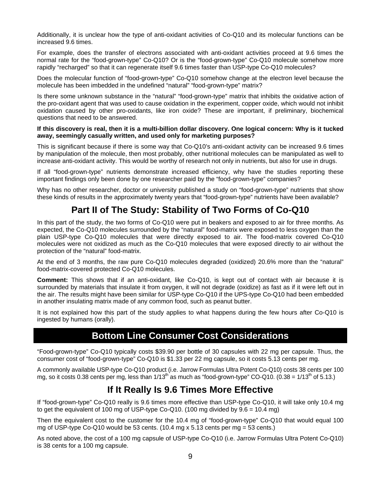Additionally, it is unclear how the type of anti-oxidant activities of Co-Q10 and its molecular functions can be increased 9.6 times.

For example, does the transfer of electrons associated with anti-oxidant activities proceed at 9.6 times the normal rate for the "food-grown-type" Co-Q10? Or is the "food-grown-type" Co-Q10 molecule somehow more rapidly "recharged" so that it can regenerate itself 9.6 times faster than USP-type Co-Q10 molecules?

Does the molecular function of "food-grown-type" Co-Q10 somehow change at the electron level because the molecule has been imbedded in the undefined "natural" "food-grown-type" matrix?

Is there some unknown substance in the "natural" "food-grown-type" matrix that inhibits the oxidative action of the pro-oxidant agent that was used to cause oxidation in the experiment, copper oxide, which would not inhibit oxidation caused by other pro-oxidants, like iron oxide? These are important, if preliminary, biochemical questions that need to be answered.

#### **If this discovery is real, then it is a multi-billion dollar discovery. One logical concern: Why is it tucked away, seemingly casually written, and used only for marketing purposes?**

This is significant because if there is some way that Co-Q10's anti-oxidant activity can be increased 9.6 times by manipulation of the molecule, then most probably, other nutritional molecules can be manipulated as well to increase anti-oxidant activity. This would be worthy of research not only in nutrients, but also for use in drugs.

If all "food-grown-type" nutrients demonstrate increased efficiency, why have the studies reporting these important findings only been done by one researcher paid by the "food-grown-type" companies?

Why has no other researcher, doctor or university published a study on "food-grown-type" nutrients that show these kinds of results in the approximately twenty years that "food-grown-type" nutrients have been available?

### **Part II of The Study: Stability of Two Forms of Co-Q10**

In this part of the study, the two forms of Co-Q10 were put in beakers and exposed to air for three months. As expected, the Co-Q10 molecules surrounded by the "natural" food-matrix were exposed to less oxygen than the plain USP-type Co-Q10 molecules that were directly exposed to air. The food-matrix covered Co-Q10 molecules were not oxidized as much as the Co-Q10 molecules that were exposed directly to air without the protection of the "natural" food-matrix.

At the end of 3 months, the raw pure Co-Q10 molecules degraded (oxidized) 20.6% more than the "natural" food-matrix-covered protected Co-Q10 molecules.

**Comment:** This shows that if an anti-oxidant, like Co-Q10, is kept out of contact with air because it is surrounded by materials that insulate it from oxygen, it will not degrade (oxidize) as fast as if it were left out in the air. The results might have been similar for USP-type Co-Q10 if the UPS-type Co-Q10 had been embedded in another insulating matrix made of any common food, such as peanut butter.

It is not explained how this part of the study applies to what happens during the few hours after Co-Q10 is ingested by humans (orally).

### **Bottom Line Consumer Cost Considerations**

"Food-grown-type" Co-Q10 typically costs \$39.90 per bottle of 30 capsules with 22 mg per capsule. Thus, the consumer cost of "food-grown-type" Co-Q10 is \$1.33 per 22 mg capsule, so it costs 5.13 cents per mg.

A commonly available USP-type Co-Q10 product (i.e. Jarrow Formulas Ultra Potent Co-Q10) costs 38 cents per 100 mg, so it costs 0.38 cents per mg, less than  $1/13^{th}$  as much as "food-grown-type" CO-Q10. (0.38 =  $1/13^{th}$  of 5.13.)

### **If It Really Is 9.6 Times More Effective**

If "food-grown-type" Co-Q10 really is 9.6 times more effective than USP-type Co-Q10, it will take only 10.4 mg to get the equivalent of 100 mg of USP-type Co-Q10. (100 mg divided by  $9.6 = 10.4$  mg)

Then the equivalent cost to the customer for the 10.4 mg of "food-grown-type" Co-Q10 that would equal 100 mg of USP-type Co-Q10 would be 53 cents.  $(10.4 \text{ mg} \times 5.13 \text{ cents per mg} = 53 \text{ cents.})$ 

As noted above, the cost of a 100 mg capsule of USP-type Co-Q10 (i.e. Jarrow Formulas Ultra Potent Co-Q10) is 38 cents for a 100 mg capsule.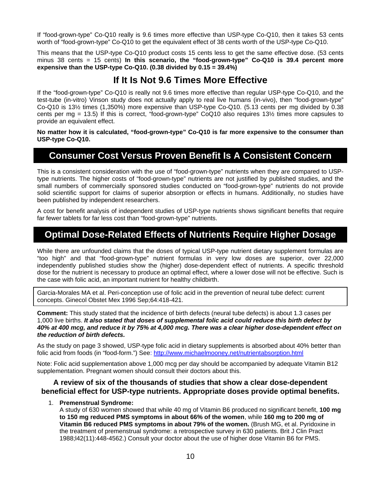If "food-grown-type" Co-Q10 really is 9.6 times more effective than USP-type Co-Q10, then it takes 53 cents worth of "food-grown-type" Co-Q10 to get the equivalent effect of 38 cents worth of the USP-type Co-Q10.

This means that the USP-type Co-Q10 product costs 15 cents less to get the same effective dose. (53 cents minus 38 cents = 15 cents) **In this scenario, the "food-grown-type" Co-Q10 is 39.4 percent more expensive than the USP-type Co-Q10. (0.38 divided by 0.15 = 39.4%)** 

### **If It Is Not 9.6 Times More Effective**

If the "food-grown-type" Co-Q10 is really not 9.6 times more effective than regular USP-type Co-Q10, and the test-tube (in-vitro) Vinson study does not actually apply to real live humans (in-vivo), then "food-grown-type" Co-Q10 is 13½ times (1,350%) more expensive than USP-type Co-Q10. (5.13 cents per mg divided by 0.38 cents per mg = 13.5) If this is correct, "food-grown-type" CoQ10 also requires 13½ times more capsules to provide an equivalent effect.

**No matter how it is calculated, "food-grown-type" Co-Q10 is far more expensive to the consumer than USP-type Co-Q10.** 

### **Consumer Cost Versus Proven Benefit Is A Consistent Concern**

This is a consistent consideration with the use of "food-grown-type" nutrients when they are compared to USPtype nutrients. The higher costs of "food-grown-type" nutrients are not justified by published studies, and the small numbers of commercially sponsored studies conducted on "food-grown-type" nutrients do not provide solid scientific support for claims of superior absorption or effects in humans. Additionally, no studies have been published by independent researchers.

A cost for benefit analysis of independent studies of USP-type nutrients shows significant benefits that require far fewer tablets for far less cost than "food-grown-type" nutrients.

### **Optimal Dose-Related Effects of Nutrients Require Higher Dosage**

While there are unfounded claims that the doses of typical USP-type nutrient dietary supplement formulas are "too high" and that "food-grown-type" nutrient formulas in very low doses are superior, over 22,000 independently published studies show the (higher) dose-dependent effect of nutrients. A specific threshold dose for the nutrient is necessary to produce an optimal effect, where a lower dose will not be effective. Such is the case with folic acid, an important nutrient for healthy childbirth.

Garcia-Morales MA et al. Peri-conception use of folic acid in the prevention of neural tube defect: current concepts. Ginecol Obstet Mex 1996 Sep;64:418-421.

**Comment:** This study stated that the incidence of birth defects (neural tube defects) is about 1.3 cases per 1,000 live births. *It also stated that doses of supplemental folic acid could reduce this birth defect by 40% at 400 mcg, and reduce it by 75% at 4,000 mcg. There was a clear higher dose-dependent effect on the reduction of birth defects.*

As the study on page 3 showed, USP-type folic acid in dietary supplements is absorbed about 40% better than folic acid from foods (in "food-form.") See: http://www.michaelmooney.net/nutrientabsorption.html

Note: Folic acid supplementation above 1,000 mcg per day should be accompanied by adequate Vitamin B12 supplementation. Pregnant women should consult their doctors about this.

#### **A review of six of the thousands of studies that show a clear dose-dependent beneficial effect for USP-type nutrients. Appropriate doses provide optimal benefits.**

#### 1. **Premenstrual Syndrome:**

A study of 630 women showed that while 40 mg of Vitamin B6 produced no significant benefit, **100 mg to 150 mg reduced PMS symptoms in about 66% of the women**, while **160 mg to 200 mg of Vitamin B6 reduced PMS symptoms in about 79% of the women.** (Brush MG, et al. Pyridoxine in the treatment of premenstrual syndrome: a retrospective survey in 630 patients. Brit J Clin Pract 1988;l42(11):448-4562.) Consult your doctor about the use of higher dose Vitamin B6 for PMS.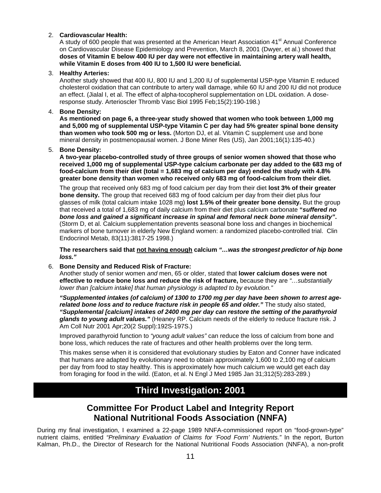#### 2. **Cardiovascular Health:**

A study of 600 people that was presented at the American Heart Association  $41^{\text{st}}$  Annual Conference on Cardiovascular Disease Epidemiology and Prevention, March 8, 2001 (Dwyer, et al.) showed that **doses of Vitamin E below 400 IU per day were not effective in maintaining artery wall health, while Vitamin E doses from 400 IU to 1,500 IU were beneficial***.*

#### 3. **Healthy Arteries:**

Another study showed that 400 IU, 800 IU and 1,200 IU of supplemental USP-type Vitamin E reduced cholesterol oxidation that can contribute to artery wall damage, while 60 IU and 200 IU did not produce an effect. (Jialal I, et al. The effect of alpha-tocopherol supplementation on LDL oxidation. A doseresponse study. Arterioscler Thromb Vasc Biol 1995 Feb;15(2):190-198.)

#### 4. **Bone Density:**

**As mentioned on page 6, a three-year study showed that women who took between 1,000 mg and 5,000 mg of supplemental USP-type Vitamin C per day had 5% greater spinal bone density than women who took 500 mg or less.** (Morton DJ, et al. Vitamin C supplement use and bone mineral density in postmenopausal women. J Bone Miner Res (US), Jan 2001;16(1):135-40.)

#### 5. **Bone Density:**

**A two-year placebo-controlled study of three groups of senior women showed that those who received 1,000 mg of supplemental USP-type calcium carbonate per day added to the 683 mg of food-calcium from their diet (total = 1,683 mg of calcium per day) ended the study with 4.8% greater bone density than women who received only 683 mg of food-calcium from their diet.**

The group that received only 683 mg of food calcium per day from their diet **lost 3% of their greater bone density.** The group that received 683 mg of food calcium per day from their diet plus four glasses of milk (total calcium intake 1028 mg) **lost 1.5% of their greater bone density.** But the group that received a total of 1,683 mg of daily calcium from their diet plus calcium carbonate **"***suffered no bone loss and gained a significant increase in spinal and femoral neck bone mineral density"***.** (Storm D, et al. Calcium supplementation prevents seasonal bone loss and changes in biochemical markers of bone turnover in elderly New England women: a randomized placebo-controlled trial. Clin Endocrinol Metab, 83(11):3817-25 1998.)

**The researchers said that not having enough calcium** *"…was the strongest predictor of hip bone loss."*

#### 6. **Bone Density and Reduced Risk of Fracture:**

Another study of senior women *and* men, 65 or older, stated that **lower calcium doses were not effective to reduce bone loss and reduce the risk of fracture,** because they are *"…substantially lower than [calcium intake] that human physiology is adapted to by evolution."*

*"Supplemented intakes (of calcium) of 1300 to 1700 mg per day have been shown to arrest agerelated bone loss and to reduce fracture risk in people 65 and older."* The study also stated, *"Supplemental [calcium] intakes of 2400 mg per day can restore the setting of the parathyroid glands to young adult values."* (Heaney RP. Calcium needs of the elderly to reduce fracture risk. J Am Coll Nutr 2001 Apr;20(2 Suppl):192S-197S.)

Improved parathyroid function to *"young adult values"* can reduce the loss of calcium from bone and bone loss, which reduces the rate of fractures and other health problems over the long term.

This makes sense when it is considered that evolutionary studies by Eaton and Conner have indicated that humans are adapted by evolutionary need to obtain approximately 1,600 to 2,100 mg of calcium per day from food to stay healthy. This is approximately how much calcium we would get each day from foraging for food in the wild. (Eaton, et al. N Engl J Med 1985 Jan 31;312(5):283-289.)

### **Third Investigation: 2001**

### **Committee For Product Label and Integrity Report National Nutritional Foods Association (NNFA)**

During my final investigation, I examined a 22-page 1989 NNFA-commissioned report on "food-grown-type" nutrient claims, entitled *"Preliminary Evaluation of Claims for 'Food Form' Nutrients."* In the report, Burton Kalman, Ph.D., the Director of Research for the National Nutritional Foods Association (NNFA), a non-profit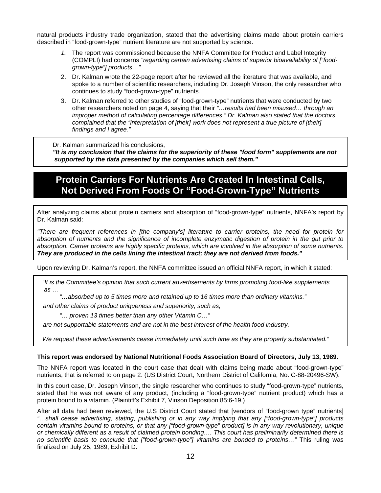natural products industry trade organization, stated that the advertising claims made about protein carriers described in "food-grown-type" nutrient literature are not supported by science.

- *1.* The report was commissioned because the NNFA Committee for Product and Label Integrity (COMPLI) had concerns *"regarding certain advertising claims of superior bioavailability of ["foodgrown-type"] products…"*
- 2. Dr. Kalman wrote the 22-page report after he reviewed all the literature that was available, and spoke to a number of scientific researchers, including Dr. Joseph Vinson, the only researcher who continues to study "food-grown-type" nutrients.
- 3. Dr. Kalman referred to other studies of "food-grown-type" nutrients that were conducted by two other researchers noted on page 4, saying that their *"…results had been misused… through an improper method of calculating percentage differences." Dr. Kalman also stated that the doctors complained that the "interpretation of [their] work does not represent a true picture of [their] findings and I agree."*

Dr. Kalman summarized his conclusions,

 *"It is my conclusion that the claims for the superiority of these "food form" supplements are not supported by the data presented by the companies which sell them."* 

### **Protein Carriers For Nutrients Are Created In Intestinal Cells, Not Derived From Foods Or "Food-Grown-Type" Nutrients**

After analyzing claims about protein carriers and absorption of "food-grown-type" nutrients, NNFA's report by Dr. Kalman said:

*"There are frequent references in [the company's] literature to carrier proteins, the need for protein for absorption of nutrients and the significance of incomplete enzymatic digestion of protein in the gut prior to absorption. Carrier proteins are highly specific proteins, which are involved in the absorption of some nutrients. They are produced in the cells lining the intestinal tract; they are not derived from foods."* 

Upon reviewing Dr. Kalman's report, the NNFA committee issued an official NNFA report, in which it stated:

 *"It is the Committee's opinion that such current advertisements by firms promoting food-like supplements as …* 

*"…absorbed up to 5 times more and retained up to 16 times more than ordinary vitamins."* 

 *and other claims of product uniqueness and superiority, such as,* 

*"… proven 13 times better than any other Vitamin C…"* 

 *are not supportable statements and are not in the best interest of the health food industry.* 

 *We request these advertisements cease immediately until such time as they are properly substantiated."* 

#### **This report was** *e***ndorsed by National Nutritional Foods Association Board of Directors, July 13, 1989.**

The NNFA report was located in the court case that dealt with claims being made about "food-grown-type" nutrients, that is referred to on page 2. (US District Court, Northern District of California, No. C-88-20496-SW).

In this court case, Dr. Joseph Vinson, the single researcher who continues to study "food-grown-type" nutrients, stated that he was not aware of any product, (including a "food-grown-type" nutrient product) which has a protein bound to a vitamin. (Plaintiff's Exhibit 7, Vinson Deposition 85:6-19.)

After all data had been reviewed, the U.S District Court stated that [vendors of "food-grown type" nutrients] *"…shall cease advertising, stating, publishing or in any way implying that any ["food-grown-type"] products contain vitamins bound to proteins, or that any ["food-grown-type" product] is in any way revolutionary, unique or chemically different as a result of claimed protein bonding…. This court has preliminarily determined there is no scientific basis to conclude that ["food-grown-type"] vitamins are bonded to proteins…"* This ruling was finalized on July 25, 1989, Exhibit D.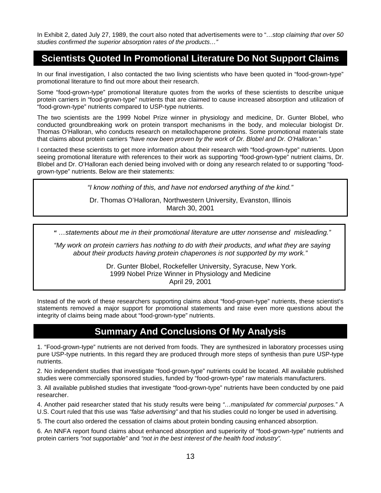In Exhibit 2, dated July 27, 1989, the court also noted that advertisements were to "*…stop claiming that over 50 studies confirmed the superior absorption rates of the products…"*

### **Scientists Quoted In Promotional Literature Do Not Support Claims**

In our final investigation, I also contacted the two living scientists who have been quoted in "food-grown-type" promotional literature to find out more about their research.

Some "food-grown-type" promotional literature quotes from the works of these scientists to describe unique protein carriers in "food-grown-type" nutrients that are claimed to cause increased absorption and utilization of "food-grown-type" nutrients compared to USP-type nutrients.

The two scientists are the 1999 Nobel Prize winner in physiology and medicine, Dr. Gunter Blobel, who conducted groundbreaking work on protein transport mechanisms in the body, and molecular biologist Dr. Thomas O'Halloran, who conducts research on metallochaperone proteins. Some promotional materials state that claims about protein carriers *"have now been proven by the work of Dr. Blobel and Dr. O'Halloran."* 

I contacted these scientists to get more information about their research with "food-grown-type" nutrients. Upon seeing promotional literature with references to their work as supporting "food-grown-type" nutrient claims, Dr. Blobel and Dr. O'Halloran each denied being involved with or doing any research related to or supporting "foodgrown-type" nutrients. Below are their statements:

*"I know nothing of this, and have not endorsed anything of the kind."* 

Dr. Thomas O'Halloran, Northwestern University, Evanston, Illinois March 30, 2001

 *" …statements about me in their promotional literature are utter nonsense and misleading."* 

 *"My work on protein carriers has nothing to do with their products, and what they are saying about their products having protein chaperones is not supported by my work."* 

> Dr. Gunter Blobel, Rockefeller University, Syracuse, New York. 1999 Nobel Prize Winner in Physiology and Medicine April 29, 2001

Instead of the work of these researchers supporting claims about "food-grown-type" nutrients, these scientist's statements removed a major support for promotional statements and raise even more questions about the integrity of claims being made about "food-grown-type" nutrients.

#### **Summary And Conclusions Of My Analysis**

1. "Food-grown-type" nutrients are not derived from foods. They are synthesized in laboratory processes using pure USP-type nutrients. In this regard they are produced through more steps of synthesis than pure USP-type nutrients.

2. No independent studies that investigate "food-grown-type" nutrients could be located. All available published studies were commercially sponsored studies, funded by "food-grown-type" raw materials manufacturers.

3. All available published studies that investigate "food-grown-type" nutrients have been conducted by one paid researcher.

4. Another paid researcher stated that his study results were being *"…manipulated for commercial purposes."* A U.S. Court ruled that this use was *"false advertising"* and that his studies could no longer be used in advertising.

5. The court also ordered the cessation of claims about protein bonding causing enhanced absorption.

6. An NNFA report found claims about enhanced absorption and superiority of "food-grown-type" nutrients and protein carriers *"not supportable"* and *"not in the best interest of the health food industry".*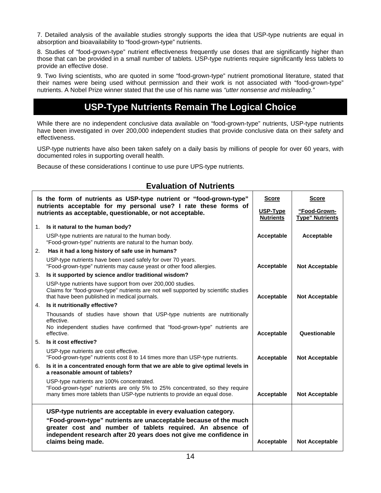7. Detailed analysis of the available studies strongly supports the idea that USP-type nutrients are equal in absorption and bioavailability to "food-grown-type" nutrients.

8. Studies of "food-grown-type" nutrient effectiveness frequently use doses that are significantly higher than those that can be provided in a small number of tablets. USP-type nutrients require significantly less tablets to provide an effective dose.

9. Two living scientists, who are quoted in some "food-grown-type" nutrient promotional literature, stated that their names were being used without permission and their work is not associated with "food-grown-type" nutrients. A Nobel Prize winner stated that the use of his name was *"utter nonsense and misleading."* 

### **USP-Type Nutrients Remain The Logical Choice**

While there are no independent conclusive data available on "food-grown-type" nutrients, USP-type nutrients have been investigated in over 200,000 independent studies that provide conclusive data on their safety and effectiveness.

USP-type nutrients have also been taken safely on a daily basis by millions of people for over 60 years, with documented roles in supporting overall health.

Because of these considerations I continue to use pure UPS-type nutrients.

#### **Evaluation of Nutrients**

| Is the form of nutrients as USP-type nutrient or "food-grown-type"<br>nutrients acceptable for my personal use? I rate these forms of<br>nutrients as acceptable, questionable, or not acceptable. |                                                                                                                                                                                                                            | <b>Score</b><br>USP-Type<br><b>Nutrients</b> | <b>Score</b><br>"Food-Grown-<br><b>Type" Nutrients</b> |
|----------------------------------------------------------------------------------------------------------------------------------------------------------------------------------------------------|----------------------------------------------------------------------------------------------------------------------------------------------------------------------------------------------------------------------------|----------------------------------------------|--------------------------------------------------------|
|                                                                                                                                                                                                    | 1. Is it natural to the human body?                                                                                                                                                                                        |                                              |                                                        |
|                                                                                                                                                                                                    | USP-type nutrients are natural to the human body.<br>"Food-grown-type" nutrients are natural to the human body.                                                                                                            | Acceptable                                   | Acceptable                                             |
| 2.                                                                                                                                                                                                 | Has it had a long history of safe use in humans?                                                                                                                                                                           |                                              |                                                        |
|                                                                                                                                                                                                    | USP-type nutrients have been used safely for over 70 years.<br>"Food-grown-type" nutrients may cause yeast or other food allergies.                                                                                        | Acceptable                                   | <b>Not Acceptable</b>                                  |
| 3.                                                                                                                                                                                                 | Is it supported by science and/or traditional wisdom?                                                                                                                                                                      |                                              |                                                        |
|                                                                                                                                                                                                    | USP-type nutrients have support from over 200,000 studies.<br>Claims for "food-grown-type" nutrients are not well supported by scientific studies<br>that have been published in medical journals.                         | Acceptable                                   | <b>Not Acceptable</b>                                  |
|                                                                                                                                                                                                    | 4. Is it nutritionally effective?                                                                                                                                                                                          |                                              |                                                        |
|                                                                                                                                                                                                    | Thousands of studies have shown that USP-type nutrients are nutritionally<br>effective.<br>No independent studies have confirmed that "food-grown-type" nutrients are<br>effective.                                        | Acceptable                                   | Questionable                                           |
|                                                                                                                                                                                                    | 5. Is it cost effective?                                                                                                                                                                                                   |                                              |                                                        |
|                                                                                                                                                                                                    | USP-type nutrients are cost effective.<br>"Food-grown-type" nutrients cost 8 to 14 times more than USP-type nutrients.                                                                                                     | <b>Acceptable</b>                            | <b>Not Acceptable</b>                                  |
| 6.                                                                                                                                                                                                 | Is it in a concentrated enough form that we are able to give optimal levels in<br>a reasonable amount of tablets?                                                                                                          |                                              |                                                        |
|                                                                                                                                                                                                    | USP-type nutrients are 100% concentrated.<br>"Food-grown-type" nutrients are only 5% to 25% concentrated, so they require<br>many times more tablets than USP-type nutrients to provide an equal dose.                     | <b>Acceptable</b>                            | <b>Not Acceptable</b>                                  |
|                                                                                                                                                                                                    | USP-type nutrients are acceptable in every evaluation category.                                                                                                                                                            |                                              |                                                        |
|                                                                                                                                                                                                    | "Food-grown-type" nutrients are unacceptable because of the much<br>greater cost and number of tablets required. An absence of<br>independent research after 20 years does not give me confidence in<br>claims being made. | Acceptable                                   | <b>Not Acceptable</b>                                  |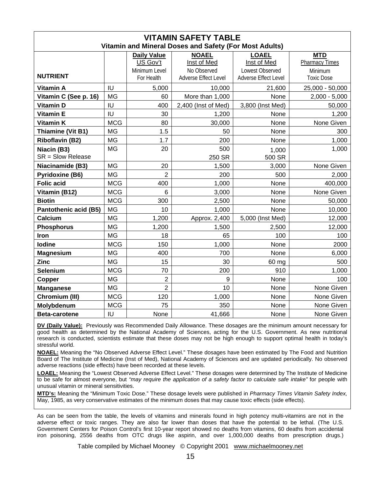| <b>VITAMIN SAFETY TABLE</b><br>Vitamin and Mineral Doses and Safety (For Most Adults) |            |                                |                                            |                                                |                                     |
|---------------------------------------------------------------------------------------|------------|--------------------------------|--------------------------------------------|------------------------------------------------|-------------------------------------|
|                                                                                       |            | <b>Daily Value</b><br>US Gov't | <b>NOAEL</b><br>Inst of Med                | <b>LOAEL</b><br>Inst of Med                    | <b>MTD</b><br><b>Pharmacy Times</b> |
| <b>NUTRIENT</b>                                                                       |            | Minimum Level<br>For Health    | No Observed<br><b>Adverse Effect Level</b> | Lowest Observed<br><b>Adverse Effect Level</b> | Minimum<br><b>Toxic Dose</b>        |
| <b>Vitamin A</b>                                                                      | IU         | 5,000                          | 10,000                                     | 21,600                                         | 25,000 - 50,000                     |
| Vitamin C (See p. 16)                                                                 | <b>MG</b>  | 60                             | More than 1,000                            | None                                           | $2,000 - 5,000$                     |
| <b>Vitamin D</b>                                                                      | IU         | 400                            | 2,400 (Inst of Med)                        | 3,800 (Inst Med)                               | 50,000                              |
| <b>Vitamin E</b>                                                                      | IU         | 30                             | 1,200                                      | None                                           | 1,200                               |
| <b>Vitamin K</b>                                                                      | <b>MCG</b> | 80                             | 30,000                                     | None                                           | None Given                          |
| Thiamine (Vit B1)                                                                     | <b>MG</b>  | 1.5                            | 50                                         | None                                           | 300                                 |
| <b>Riboflavin (B2)</b>                                                                | <b>MG</b>  | 1.7                            | 200                                        | None                                           | 1,000                               |
| Niacin (B3)<br>SR = Slow Release                                                      | <b>MG</b>  | 20                             | 500<br>250 SR                              | 1,000<br>500 SR                                | 1,000                               |
| Niacinamide (B3)                                                                      | <b>MG</b>  | 20                             | 1,500                                      | 3,000                                          | None Given                          |
| <b>Pyridoxine (B6)</b>                                                                | <b>MG</b>  | $\overline{2}$                 | 200                                        | 500                                            | 2,000                               |
| <b>Folic acid</b>                                                                     | <b>MCG</b> | 400                            | 1,000                                      | None                                           | 400,000                             |
| Vitamin (B12)                                                                         | <b>MCG</b> | 6                              | 3,000                                      | None                                           | None Given                          |
| <b>Biotin</b>                                                                         | <b>MCG</b> | 300                            | 2,500                                      | None                                           | 50,000                              |
| <b>Pantothenic acid (B5)</b>                                                          | <b>MG</b>  | 10                             | 1,000                                      | None                                           | 10,000                              |
| Calcium                                                                               | <b>MG</b>  | 1,200                          | Approx. 2,400                              | 5,000 (Inst Med)                               | 12,000                              |
| <b>Phosphorus</b>                                                                     | <b>MG</b>  | 1,200                          | 1,500                                      | 2,500                                          | 12,000                              |
| Iron                                                                                  | <b>MG</b>  | 18                             | 65                                         | 100                                            | 100                                 |
| lodine                                                                                | <b>MCG</b> | 150                            | 1,000                                      | None                                           | 2000                                |
| <b>Magnesium</b>                                                                      | <b>MG</b>  | 400                            | 700                                        | None                                           | 6,000                               |
| <b>Zinc</b>                                                                           | MG         | 15                             | 30                                         | 60 mg                                          | 500                                 |
| <b>Selenium</b>                                                                       | <b>MCG</b> | 70                             | 200                                        | 910                                            | 1,000                               |
| Copper                                                                                | <b>MG</b>  | $\overline{2}$                 | 9                                          | None                                           | 100                                 |
| <b>Manganese</b>                                                                      | <b>MG</b>  | $\overline{2}$                 | 10                                         | None                                           | None Given                          |
| Chromium (III)                                                                        | <b>MCG</b> | 120                            | 1,000                                      | None                                           | None Given                          |
| Molybdenum                                                                            | <b>MCG</b> | 75                             | 350                                        | None                                           | None Given                          |
| Beta-carotene                                                                         | IU         | None                           | 41,666                                     | None                                           | None Given                          |

**DV (Daily Value):** Previously was Recommended Daily Allowance. These dosages are the minimum amount necessary for good health as determined by the National Academy of Sciences, acting for the U.S. Government. As new nutritional research is conducted, scientists estimate that these doses may not be high enough to support optimal health in today's stressful world.

**NOAEL:** Meaning the "No Observed Adverse Effect Level." These dosages have been estimated by The Food and Nutrition Board of The Institute of Medicine (Inst of Med), National Academy of Sciences and are updated periodically. No observed adverse reactions (side effects) have been recorded at these levels.

**LOAEL:** Meaning the "Lowest Observed Adverse Effect Level." These dosages were determined by The Institute of Medicine to be safe for almost everyone, but *"may require the application of a safety factor to calculate safe intake"* for people with unusual vitamin or mineral sensitivities.

**MTD's:** Meaning the "Minimum Toxic Dose." These dosage levels were published in *Pharmacy Times Vitamin Safety Index,*  May, 1985, as very conservative estimates of the minimum doses that may cause toxic effects (side effects).

As can be seen from the table, the levels of vitamins and minerals found in high potency multi-vitamins are not in the adverse effect or toxic ranges. They are also far lower than doses that have the potential to be lethal. (The U.S. Government Centers for Poison Control's first 10-year report showed no deaths from vitamins, 60 deaths from accidental iron poisoning, 2556 deaths from OTC drugs like aspirin, and over 1,000,000 deaths from prescription drugs.)

Table compiled by Michael Mooney © Copyright 2001 www.michaelmooney.net